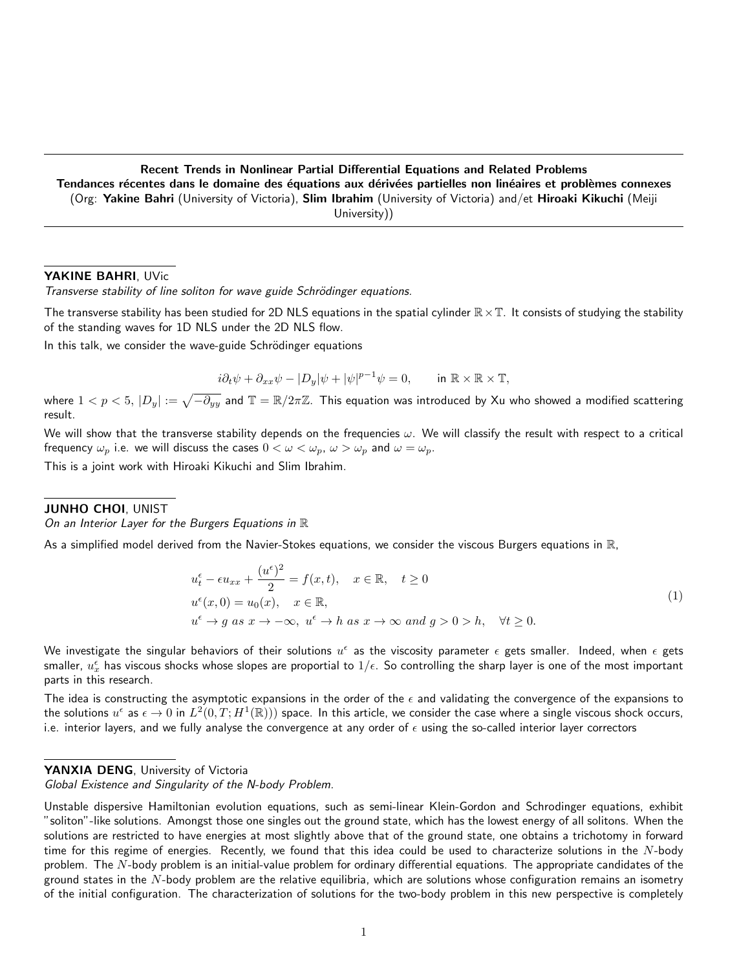## Recent Trends in Nonlinear Partial Differential Equations and Related Problems Tendances récentes dans le domaine des équations aux dérivées partielles non linéaires et problèmes connexes (Org: Yakine Bahri (University of Victoria), Slim Ibrahim (University of Victoria) and/et Hiroaki Kikuchi (Meiji University))

### YAKINE BAHRI, UVic

Transverse stability of line soliton for wave guide Schrödinger equations.

The transverse stability has been studied for 2D NLS equations in the spatial cylinder  $\mathbb{R}\times\mathbb{T}$ . It consists of studying the stability of the standing waves for 1D NLS under the 2D NLS flow.

In this talk, we consider the wave-guide Schrödinger equations

$$
i\partial_t \psi + \partial_{xx}\psi - |D_y|\psi + |\psi|^{p-1}\psi = 0, \quad \text{in } \mathbb{R} \times \mathbb{R} \times \mathbb{T},
$$

where  $1< p < 5,$   $|D_y|:=\sqrt{-\partial_{yy}}$  and  $\mathbb{T}=\R/2\pi\Z$ . This equation was introduced by Xu who showed a modified scattering result.

We will show that the transverse stability depends on the frequencies  $\omega$ . We will classify the result with respect to a critical frequency  $\omega_p$  i.e. we will discuss the cases  $0 < \omega < \omega_p$ ,  $\omega > \omega_p$  and  $\omega = \omega_p$ . This is a joint work with Hiroaki Kikuchi and Slim Ibrahim.

### JUNHO CHOI, UNIST

On an Interior Layer for the Burgers Equations in  $\mathbb R$ 

As a simplified model derived from the Navier-Stokes equations, we consider the viscous Burgers equations in R,

$$
u_t^{\epsilon} - \epsilon u_{xx} + \frac{(u^{\epsilon})^2}{2} = f(x, t), \quad x \in \mathbb{R}, \quad t \ge 0
$$
  

$$
u^{\epsilon}(x, 0) = u_0(x), \quad x \in \mathbb{R},
$$
  

$$
u^{\epsilon} \to g \text{ as } x \to -\infty, \quad u^{\epsilon} \to h \text{ as } x \to \infty \text{ and } g > 0 > h, \quad \forall t \ge 0.
$$
  

$$
(1)
$$

We investigate the singular behaviors of their solutions  $u^\epsilon$  as the viscosity parameter  $\epsilon$  gets smaller. Indeed, when  $\epsilon$  gets smaller,  $u_x^\epsilon$  has viscous shocks whose slopes are proportial to  $1/\epsilon$ . So controlling the sharp layer is one of the most important parts in this research.

The idea is constructing the asymptotic expansions in the order of the  $\epsilon$  and validating the convergence of the expansions to the solutions  $u^{\epsilon}$  as  $\epsilon\to 0$  in  $L^2(0,T;H^1(\mathbb{R}))$  space. In this article, we consider the case where a single viscous shock occurs, i.e. interior layers, and we fully analyse the convergence at any order of  $\epsilon$  using the so-called interior layer correctors

## YANXIA DENG, University of Victoria

Global Existence and Singularity of the N-body Problem.

Unstable dispersive Hamiltonian evolution equations, such as semi-linear Klein-Gordon and Schrodinger equations, exhibit "soliton"-like solutions. Amongst those one singles out the ground state, which has the lowest energy of all solitons. When the solutions are restricted to have energies at most slightly above that of the ground state, one obtains a trichotomy in forward time for this regime of energies. Recently, we found that this idea could be used to characterize solutions in the N-body problem. The N-body problem is an initial-value problem for ordinary differential equations. The appropriate candidates of the ground states in the  $N$ -body problem are the relative equilibria, which are solutions whose configuration remains an isometry of the initial configuration. The characterization of solutions for the two-body problem in this new perspective is completely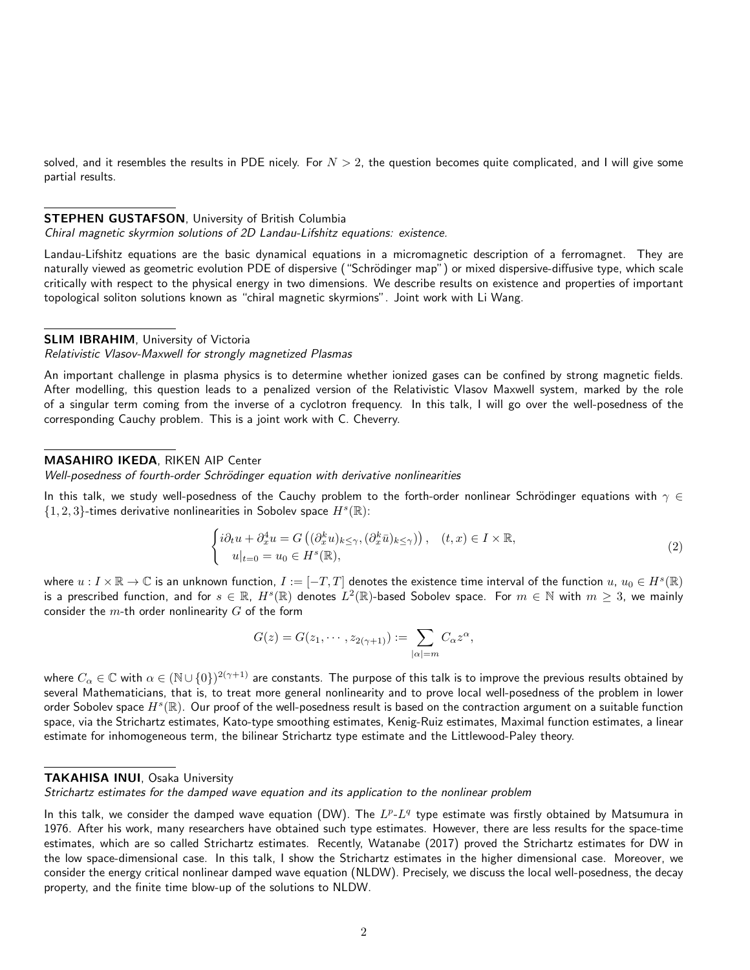solved, and it resembles the results in PDE nicely. For  $N > 2$ , the question becomes quite complicated, and I will give some partial results.

## STEPHEN GUSTAFSON, University of British Columbia

Chiral magnetic skyrmion solutions of 2D Landau-Lifshitz equations: existence.

Landau-Lifshitz equations are the basic dynamical equations in a micromagnetic description of a ferromagnet. They are naturally viewed as geometric evolution PDE of dispersive ("Schrödinger map") or mixed dispersive-diffusive type, which scale critically with respect to the physical energy in two dimensions. We describe results on existence and properties of important topological soliton solutions known as "chiral magnetic skyrmions". Joint work with Li Wang.

### **SLIM IBRAHIM, University of Victoria**

#### Relativistic Vlasov-Maxwell for strongly magnetized Plasmas

An important challenge in plasma physics is to determine whether ionized gases can be confined by strong magnetic fields. After modelling, this question leads to a penalized version of the Relativistic Vlasov Maxwell system, marked by the role of a singular term coming from the inverse of a cyclotron frequency. In this talk, I will go over the well-posedness of the corresponding Cauchy problem. This is a joint work with C. Cheverry.

## MASAHIRO IKEDA, RIKEN AIP Center

Well-posedness of fourth-order Schrödinger equation with derivative nonlinearities

In this talk, we study well-posedness of the Cauchy problem to the forth-order nonlinear Schrödinger equations with  $\gamma \in$  ${1, 2, 3}$ -times derivative nonlinearities in Sobolev space  $H<sup>s</sup>(\mathbb{R})$ :

$$
\begin{cases} i\partial_t u + \partial_x^4 u = G\left( (\partial_x^k u)_{k \le \gamma}, (\partial_x^k \bar{u})_{k \le \gamma} \right), & (t, x) \in I \times \mathbb{R}, \\ u|_{t=0} = u_0 \in H^s(\mathbb{R}), \end{cases}
$$
 (2)

where  $u:I\times\mathbb{R}\to\mathbb{C}$  is an unknown function,  $I:=[-T,T]$  denotes the existence time interval of the function  $u,~u_0\in H^s(\mathbb{R})$ is a prescribed function, and for  $s\in\mathbb R$ ,  $H^s(\mathbb R)$  denotes  $L^2(\mathbb R)$ -based Sobolev space. For  $m\in\mathbb N$  with  $m\geq 3$ , we mainly consider the  $m$ -th order nonlinearity  $G$  of the form

$$
G(z) = G(z_1, \cdots, z_{2(\gamma+1)}) := \sum_{|\alpha|=m} C_{\alpha} z^{\alpha},
$$

where  $C_\alpha\in\mathbb{C}$  with  $\alpha\in(\mathbb{N}\cup\{0\})^{2(\gamma+1)}$  are constants. The purpose of this talk is to improve the previous results obtained by several Mathematicians, that is, to treat more general nonlinearity and to prove local well-posedness of the problem in lower order Sobolev space  $H^s(\mathbb{R})$ . Our proof of the well-posedness result is based on the contraction argument on a suitable function space, via the Strichartz estimates, Kato-type smoothing estimates, Kenig-Ruiz estimates, Maximal function estimates, a linear estimate for inhomogeneous term, the bilinear Strichartz type estimate and the Littlewood-Paley theory.

## TAKAHISA INUI, Osaka University

Strichartz estimates for the damped wave equation and its application to the nonlinear problem

In this talk, we consider the damped wave equation (DW). The  $L^p$ - $L^q$  type estimate was firstly obtained by Matsumura in 1976. After his work, many researchers have obtained such type estimates. However, there are less results for the space-time estimates, which are so called Strichartz estimates. Recently, Watanabe (2017) proved the Strichartz estimates for DW in the low space-dimensional case. In this talk, I show the Strichartz estimates in the higher dimensional case. Moreover, we consider the energy critical nonlinear damped wave equation (NLDW). Precisely, we discuss the local well-posedness, the decay property, and the finite time blow-up of the solutions to NLDW.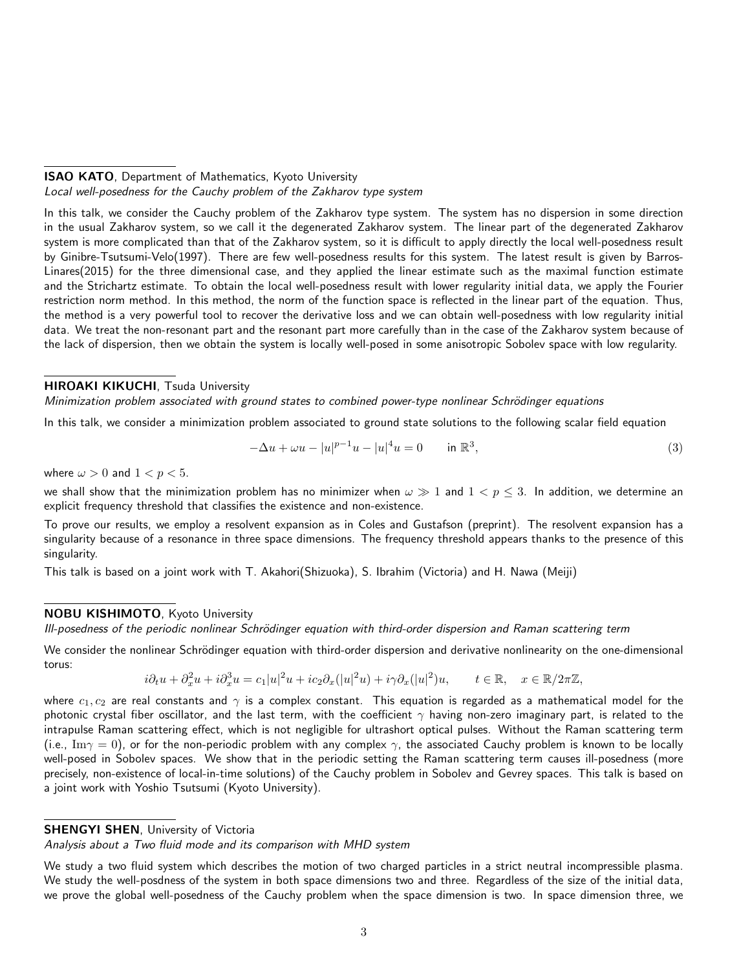## ISAO KATO, Department of Mathematics, Kyoto University Local well-posedness for the Cauchy problem of the Zakharov type system

In this talk, we consider the Cauchy problem of the Zakharov type system. The system has no dispersion in some direction in the usual Zakharov system, so we call it the degenerated Zakharov system. The linear part of the degenerated Zakharov system is more complicated than that of the Zakharov system, so it is difficult to apply directly the local well-posedness result by Ginibre-Tsutsumi-Velo(1997). There are few well-posedness results for this system. The latest result is given by Barros-Linares(2015) for the three dimensional case, and they applied the linear estimate such as the maximal function estimate and the Strichartz estimate. To obtain the local well-posedness result with lower regularity initial data, we apply the Fourier restriction norm method. In this method, the norm of the function space is reflected in the linear part of the equation. Thus, the method is a very powerful tool to recover the derivative loss and we can obtain well-posedness with low regularity initial data. We treat the non-resonant part and the resonant part more carefully than in the case of the Zakharov system because of the lack of dispersion, then we obtain the system is locally well-posed in some anisotropic Sobolev space with low regularity.

## HIROAKI KIKUCHI, Tsuda University

Minimization problem associated with ground states to combined power-type nonlinear Schrödinger equations

In this talk, we consider a minimization problem associated to ground state solutions to the following scalar field equation

$$
-\Delta u + \omega u - |u|^{p-1}u - |u|^4 u = 0 \quad \text{in } \mathbb{R}^3,
$$
 (3)

where  $\omega > 0$  and  $1 < p < 5$ .

we shall show that the minimization problem has no minimizer when  $\omega \gg 1$  and  $1 < p \le 3$ . In addition, we determine an explicit frequency threshold that classifies the existence and non-existence.

To prove our results, we employ a resolvent expansion as in Coles and Gustafson (preprint). The resolvent expansion has a singularity because of a resonance in three space dimensions. The frequency threshold appears thanks to the presence of this singularity.

This talk is based on a joint work with T. Akahori(Shizuoka), S. Ibrahim (Victoria) and H. Nawa (Meiji)

## NOBU KISHIMOTO, Kyoto University

Ill-posedness of the periodic nonlinear Schrödinger equation with third-order dispersion and Raman scattering term

We consider the nonlinear Schrödinger equation with third-order dispersion and derivative nonlinearity on the one-dimensional torus:

$$
i\partial_t u + \partial_x^2 u + i\partial_x^3 u = c_1 |u|^2 u + ic_2 \partial_x (|u|^2 u) + i\gamma \partial_x (|u|^2) u, \qquad t \in \mathbb{R}, \quad x \in \mathbb{R}/2\pi\mathbb{Z},
$$

where  $c_1, c_2$  are real constants and  $\gamma$  is a complex constant. This equation is regarded as a mathematical model for the photonic crystal fiber oscillator, and the last term, with the coefficient  $\gamma$  having non-zero imaginary part, is related to the intrapulse Raman scattering effect, which is not negligible for ultrashort optical pulses. Without the Raman scattering term (i.e., Im $\gamma = 0$ ), or for the non-periodic problem with any complex  $\gamma$ , the associated Cauchy problem is known to be locally well-posed in Sobolev spaces. We show that in the periodic setting the Raman scattering term causes ill-posedness (more precisely, non-existence of local-in-time solutions) of the Cauchy problem in Sobolev and Gevrey spaces. This talk is based on a joint work with Yoshio Tsutsumi (Kyoto University).

## **SHENGYI SHEN, University of Victoria**

Analysis about a Two fluid mode and its comparison with MHD system

We study a two fluid system which describes the motion of two charged particles in a strict neutral incompressible plasma. We study the well-posdness of the system in both space dimensions two and three. Regardless of the size of the initial data, we prove the global well-posedness of the Cauchy problem when the space dimension is two. In space dimension three, we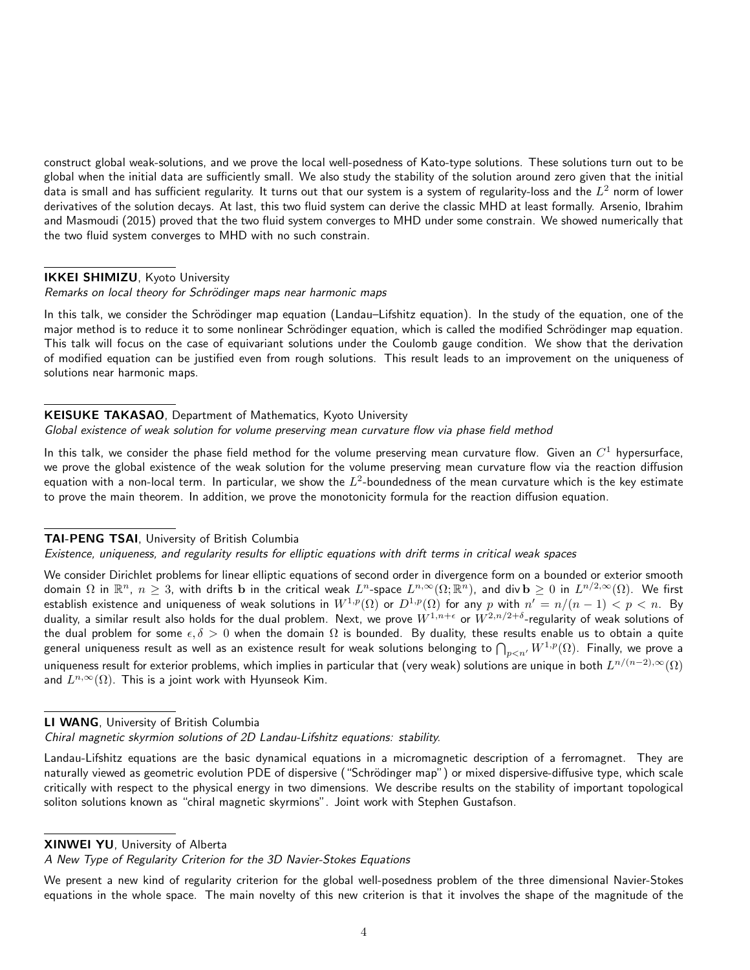construct global weak-solutions, and we prove the local well-posedness of Kato-type solutions. These solutions turn out to be global when the initial data are sufficiently small. We also study the stability of the solution around zero given that the initial data is small and has sufficient regularity. It turns out that our system is a system of regularity-loss and the  $L^2$  norm of lower derivatives of the solution decays. At last, this two fluid system can derive the classic MHD at least formally. Arsenio, Ibrahim and Masmoudi (2015) proved that the two fluid system converges to MHD under some constrain. We showed numerically that the two fluid system converges to MHD with no such constrain.

## IKKEI SHIMIZU, Kyoto University

## Remarks on local theory for Schrödinger maps near harmonic maps

In this talk, we consider the Schrödinger map equation (Landau–Lifshitz equation). In the study of the equation, one of the major method is to reduce it to some nonlinear Schrödinger equation, which is called the modified Schrödinger map equation. This talk will focus on the case of equivariant solutions under the Coulomb gauge condition. We show that the derivation of modified equation can be justified even from rough solutions. This result leads to an improvement on the uniqueness of solutions near harmonic maps.

# KEISUKE TAKASAO, Department of Mathematics, Kyoto University

## Global existence of weak solution for volume preserving mean curvature flow via phase field method

In this talk, we consider the phase field method for the volume preserving mean curvature flow. Given an  $C^1$  hypersurface, we prove the global existence of the weak solution for the volume preserving mean curvature flow via the reaction diffusion equation with a non-local term. In particular, we show the  $L^2$ -boundedness of the mean curvature which is the key estimate to prove the main theorem. In addition, we prove the monotonicity formula for the reaction diffusion equation.

# TAI-PENG TSAI, University of British Columbia

Existence, uniqueness, and regularity results for elliptic equations with drift terms in critical weak spaces

We consider Dirichlet problems for linear elliptic equations of second order in divergence form on a bounded or exterior smooth domain  $\Omega$  in  $\mathbb{R}^n$ ,  $n\geq 3$ , with drifts  $\bf b$  in the critical weak  $L^n$ -space  $L^{n,\infty}(\Omega;\mathbb{R}^n)$ , and div $\bf b\geq 0$  in  $L^{n/2,\infty}(\Omega).$  We first establish existence and uniqueness of weak solutions in  $W^{1,p}(\Omega)$  or  $D^{1,p}(\Omega)$  for any  $p$  with  $n'=n/(n-1)< p < n$ . By duality, a similar result also holds for the dual problem. Next, we prove  $W^{1,n+\epsilon}$  or  $W^{2,n/2+\delta}$ -regularity of weak solutions of the dual problem for some  $\epsilon, \delta > 0$  when the domain  $\Omega$  is bounded. By duality, these results enable us to obtain a quite general uniqueness result as well as an existence result for weak solutions belonging to  $\bigcap_{p< n'}W^{1,p}(\Omega).$  Finally, we prove a uniqueness result for exterior problems, which implies in particular that (very weak) solutions are unique in both  $L^{n/(n-2),\infty}(\Omega)$ and  $L^{n,\infty}(\Omega)$ . This is a joint work with Hyunseok Kim.

# LI WANG, University of British Columbia

Chiral magnetic skyrmion solutions of 2D Landau-Lifshitz equations: stability.

Landau-Lifshitz equations are the basic dynamical equations in a micromagnetic description of a ferromagnet. They are naturally viewed as geometric evolution PDE of dispersive ("Schrödinger map") or mixed dispersive-diffusive type, which scale critically with respect to the physical energy in two dimensions. We describe results on the stability of important topological soliton solutions known as "chiral magnetic skyrmions". Joint work with Stephen Gustafson.

# XINWEI YU, University of Alberta

A New Type of Regularity Criterion for the 3D Navier-Stokes Equations

We present a new kind of regularity criterion for the global well-posedness problem of the three dimensional Navier-Stokes equations in the whole space. The main novelty of this new criterion is that it involves the shape of the magnitude of the